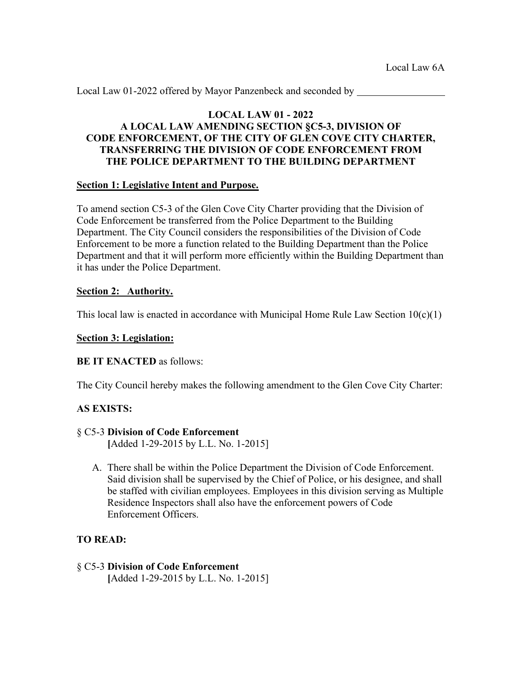Local Law 01-2022 offered by Mayor Panzenbeck and seconded by

# **LOCAL LAW 01 - 2022 A LOCAL LAW AMENDING SECTION §C5-3, DIVISION OF CODE ENFORCEMENT, OF THE CITY OF GLEN COVE CITY CHARTER, TRANSFERRING THE DIVISION OF CODE ENFORCEMENT FROM THE POLICE DEPARTMENT TO THE BUILDING DEPARTMENT**

## **Section 1: Legislative Intent and Purpose.**

To amend section C5-3 of the Glen Cove City Charter providing that the Division of Code Enforcement be transferred from the Police Department to the Building Department. The City Council considers the responsibilities of the Division of Code Enforcement to be more a function related to the Building Department than the Police Department and that it will perform more efficiently within the Building Department than it has under the Police Department.

## **Section 2: Authority.**

This local law is enacted in accordance with Municipal Home Rule Law Section  $10(c)(1)$ 

#### **Section 3: Legislation:**

#### **BE IT ENACTED** as follows:

The City Council hereby makes the following amendment to the Glen Cove City Charter:

# **AS EXISTS:**

#### § C5-3 **Division of Code Enforcement**

 **[**Added 1-29-2015 by L.L. No. 1-2015]

A. There shall be within the Police Department the Division of Code Enforcement. Said division shall be supervised by the Chief of Police, or his designee, and shall be staffed with civilian employees. Employees in this division serving as Multiple Residence Inspectors shall also have the enforcement powers of Code Enforcement Officers.

# **TO READ:**

§ C5-3 **Division of Code Enforcement [**Added 1-29-2015 by L.L. No. 1-2015]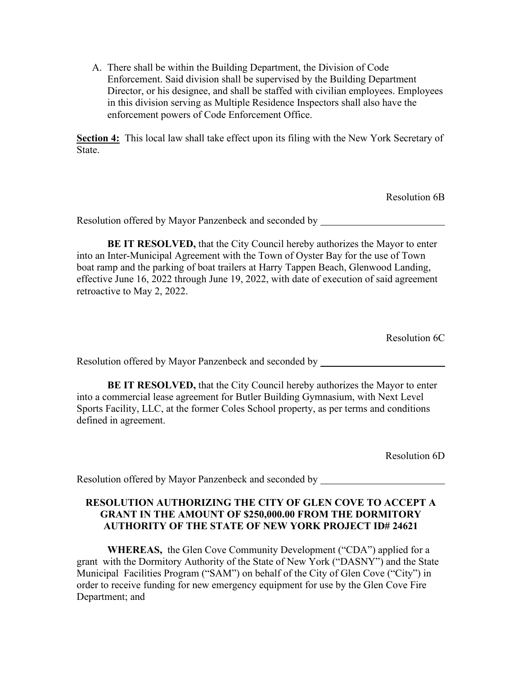A. There shall be within the Building Department, the Division of Code Enforcement. Said division shall be supervised by the Building Department Director, or his designee, and shall be staffed with civilian employees. Employees in this division serving as Multiple Residence Inspectors shall also have the enforcement powers of Code Enforcement Office.

**Section 4:** This local law shall take effect upon its filing with the New York Secretary of State.

Resolution 6B

Resolution offered by Mayor Panzenbeck and seconded by

**BE IT RESOLVED,** that the City Council hereby authorizes the Mayor to enter into an Inter-Municipal Agreement with the Town of Oyster Bay for the use of Town boat ramp and the parking of boat trailers at Harry Tappen Beach, Glenwood Landing, effective June 16, 2022 through June 19, 2022, with date of execution of said agreement retroactive to May 2, 2022.

Resolution 6C

Resolution offered by Mayor Panzenbeck and seconded by

**BE IT RESOLVED,** that the City Council hereby authorizes the Mayor to enter into a commercial lease agreement for Butler Building Gymnasium, with Next Level Sports Facility, LLC, at the former Coles School property, as per terms and conditions defined in agreement.

Resolution 6D

Resolution offered by Mayor Panzenbeck and seconded by

## **RESOLUTION AUTHORIZING THE CITY OF GLEN COVE TO ACCEPT A GRANT IN THE AMOUNT OF \$250,000.00 FROM THE DORMITORY AUTHORITY OF THE STATE OF NEW YORK PROJECT ID# 24621**

**WHEREAS,** the Glen Cove Community Development ("CDA") applied for a grant with the Dormitory Authority of the State of New York ("DASNY") and the State Municipal Facilities Program ("SAM") on behalf of the City of Glen Cove ("City") in order to receive funding for new emergency equipment for use by the Glen Cove Fire Department; and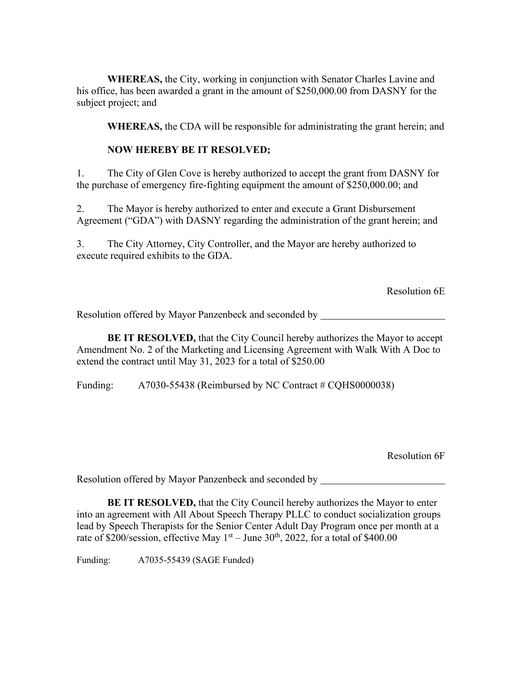**WHEREAS,** the City, working in conjunction with Senator Charles Lavine and his office, has been awarded a grant in the amount of \$250,000.00 from DASNY for the subject project; and

**WHEREAS,** the CDA will be responsible for administrating the grant herein; and

## **NOW HEREBY BE IT RESOLVED;**

1. The City of Glen Cove is hereby authorized to accept the grant from DASNY for the purchase of emergency fire-fighting equipment the amount of \$250,000.00; and

2. The Mayor is hereby authorized to enter and execute a Grant Disbursement Agreement ("GDA") with DASNY regarding the administration of the grant herein; and

3. The City Attorney, City Controller, and the Mayor are hereby authorized to execute required exhibits to the GDA.

Resolution 6E

Resolution offered by Mayor Panzenbeck and seconded by

**BE IT RESOLVED,** that the City Council hereby authorizes the Mayor to accept Amendment No. 2 of the Marketing and Licensing Agreement with Walk With A Doc to extend the contract until May 31, 2023 for a total of \$250.00

Funding: A7030-55438 (Reimbursed by NC Contract # CQHS0000038)

Resolution 6F

Resolution offered by Mayor Panzenbeck and seconded by

**BE IT RESOLVED,** that the City Council hereby authorizes the Mayor to enter into an agreement with All About Speech Therapy PLLC to conduct socialization groups lead by Speech Therapists for the Senior Center Adult Day Program once per month at a rate of \$200/session, effective May  $1<sup>st</sup> - June 30<sup>th</sup>$ , 2022, for a total of \$400.00

Funding: A7035-55439 (SAGE Funded)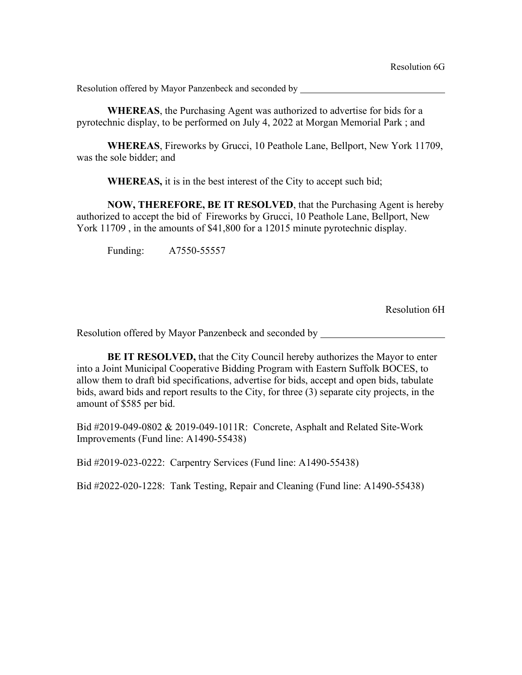**WHEREAS**, the Purchasing Agent was authorized to advertise for bids for a pyrotechnic display, to be performed on July 4, 2022 at Morgan Memorial Park ; and

**WHEREAS**, Fireworks by Grucci, 10 Peathole Lane, Bellport, New York 11709, was the sole bidder; and

**WHEREAS,** it is in the best interest of the City to accept such bid;

**NOW, THEREFORE, BE IT RESOLVED**, that the Purchasing Agent is hereby authorized to accept the bid of Fireworks by Grucci, 10 Peathole Lane, Bellport, New York 11709 , in the amounts of \$41,800 for a 12015 minute pyrotechnic display.

Funding: A7550-55557

Resolution 6H

Resolution offered by Mayor Panzenbeck and seconded by

**BE IT RESOLVED,** that the City Council hereby authorizes the Mayor to enter into a Joint Municipal Cooperative Bidding Program with Eastern Suffolk BOCES, to allow them to draft bid specifications, advertise for bids, accept and open bids, tabulate bids, award bids and report results to the City, for three (3) separate city projects, in the amount of \$585 per bid.

Bid #2019-049-0802 & 2019-049-1011R: Concrete, Asphalt and Related Site-Work Improvements (Fund line: A1490-55438)

Bid #2019-023-0222: Carpentry Services (Fund line: A1490-55438)

Bid #2022-020-1228: Tank Testing, Repair and Cleaning (Fund line: A1490-55438)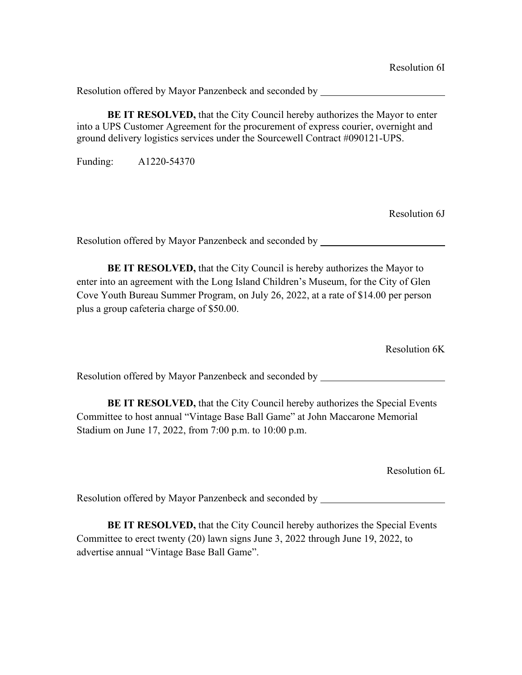**BE IT RESOLVED,** that the City Council hereby authorizes the Mayor to enter into a UPS Customer Agreement for the procurement of express courier, overnight and ground delivery logistics services under the Sourcewell Contract #090121-UPS.

Funding: A1220-54370

Resolution 6J

Resolution offered by Mayor Panzenbeck and seconded by

**BE IT RESOLVED,** that the City Council is hereby authorizes the Mayor to enter into an agreement with the Long Island Children's Museum, for the City of Glen Cove Youth Bureau Summer Program, on July 26, 2022, at a rate of \$14.00 per person plus a group cafeteria charge of \$50.00.

Resolution 6K

Resolution offered by Mayor Panzenbeck and seconded by

**BE IT RESOLVED,** that the City Council hereby authorizes the Special Events Committee to host annual "Vintage Base Ball Game" at John Maccarone Memorial Stadium on June 17, 2022, from 7:00 p.m. to 10:00 p.m.

Resolution 6L

Resolution offered by Mayor Panzenbeck and seconded by

**BE IT RESOLVED,** that the City Council hereby authorizes the Special Events Committee to erect twenty (20) lawn signs June 3, 2022 through June 19, 2022, to advertise annual "Vintage Base Ball Game".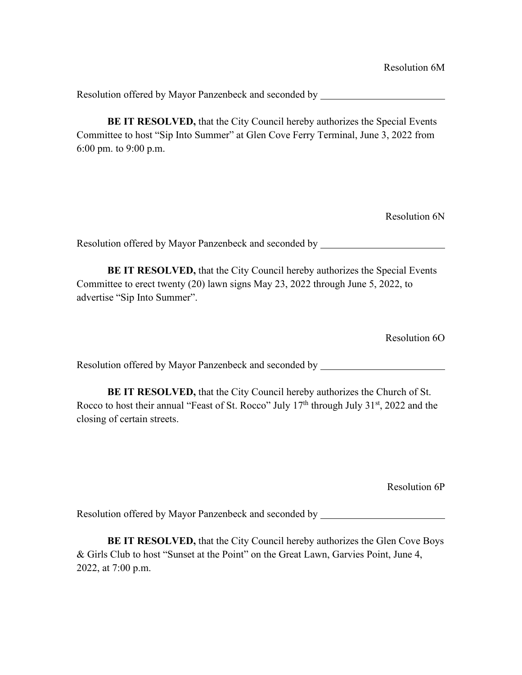**BE IT RESOLVED,** that the City Council hereby authorizes the Special Events Committee to host "Sip Into Summer" at Glen Cove Ferry Terminal, June 3, 2022 from 6:00 pm. to 9:00 p.m.

Resolution 6N

Resolution offered by Mayor Panzenbeck and seconded by

**BE IT RESOLVED,** that the City Council hereby authorizes the Special Events Committee to erect twenty (20) lawn signs May 23, 2022 through June 5, 2022, to advertise "Sip Into Summer".

Resolution 6O

Resolution offered by Mayor Panzenbeck and seconded by

**BE IT RESOLVED,** that the City Council hereby authorizes the Church of St. Rocco to host their annual "Feast of St. Rocco" July  $17<sup>th</sup>$  through July  $31<sup>st</sup>$ , 2022 and the closing of certain streets.

Resolution 6P

Resolution offered by Mayor Panzenbeck and seconded by

**BE IT RESOLVED,** that the City Council hereby authorizes the Glen Cove Boys & Girls Club to host "Sunset at the Point" on the Great Lawn, Garvies Point, June 4, 2022, at 7:00 p.m.